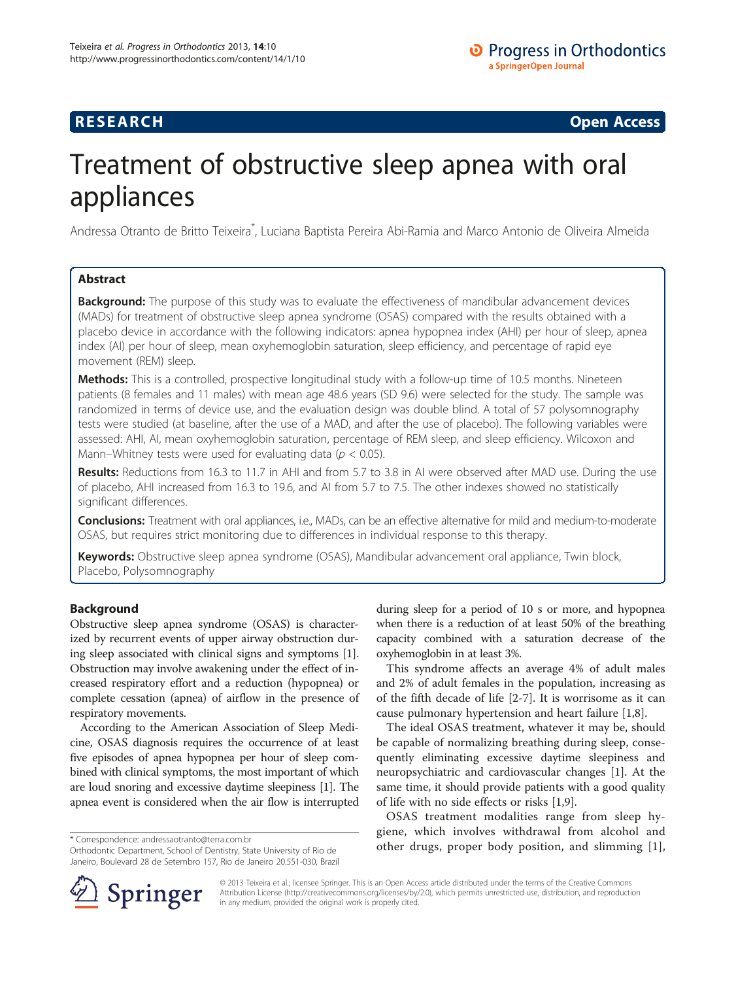# **RESEARCH CHINESE ARCH CHINESE ARCH CHINESE ARCH <b>CHINESE ARCH**

# Treatment of obstructive sleep apnea with oral appliances

Andressa Otranto de Britto Teixeira\* , Luciana Baptista Pereira Abi-Ramia and Marco Antonio de Oliveira Almeida

# Abstract

Background: The purpose of this study was to evaluate the effectiveness of mandibular advancement devices (MADs) for treatment of obstructive sleep apnea syndrome (OSAS) compared with the results obtained with a placebo device in accordance with the following indicators: apnea hypopnea index (AHI) per hour of sleep, apnea index (AI) per hour of sleep, mean oxyhemoglobin saturation, sleep efficiency, and percentage of rapid eye movement (REM) sleep.

**Methods:** This is a controlled, prospective longitudinal study with a follow-up time of 10.5 months. Nineteen patients (8 females and 11 males) with mean age 48.6 years (SD 9.6) were selected for the study. The sample was randomized in terms of device use, and the evaluation design was double blind. A total of 57 polysomnography tests were studied (at baseline, after the use of a MAD, and after the use of placebo). The following variables were assessed: AHI, AI, mean oxyhemoglobin saturation, percentage of REM sleep, and sleep efficiency. Wilcoxon and Mann–Whitney tests were used for evaluating data ( $p < 0.05$ ).

Results: Reductions from 16.3 to 11.7 in AHI and from 5.7 to 3.8 in AI were observed after MAD use. During the use of placebo, AHI increased from 16.3 to 19.6, and AI from 5.7 to 7.5. The other indexes showed no statistically significant differences.

Conclusions: Treatment with oral appliances, i.e., MADs, can be an effective alternative for mild and medium-to-moderate OSAS, but requires strict monitoring due to differences in individual response to this therapy.

Keywords: Obstructive sleep apnea syndrome (OSAS), Mandibular advancement oral appliance, Twin block, Placebo, Polysomnography

# Background

Obstructive sleep apnea syndrome (OSAS) is characterized by recurrent events of upper airway obstruction during sleep associated with clinical signs and symptoms [[1](#page-7-0)]. Obstruction may involve awakening under the effect of increased respiratory effort and a reduction (hypopnea) or complete cessation (apnea) of airflow in the presence of respiratory movements.

According to the American Association of Sleep Medicine, OSAS diagnosis requires the occurrence of at least five episodes of apnea hypopnea per hour of sleep combined with clinical symptoms, the most important of which are loud snoring and excessive daytime sleepiness [[1](#page-7-0)]. The apnea event is considered when the air flow is interrupted

Orthodontic Department, School of Dentistry, State University of Rio de Janeiro, Boulevard 28 de Setembro 157, Rio de Janeiro 20.551-030, Brazil during sleep for a period of 10 s or more, and hypopnea when there is a reduction of at least 50% of the breathing capacity combined with a saturation decrease of the oxyhemoglobin in at least 3%.

This syndrome affects an average 4% of adult males and 2% of adult females in the population, increasing as of the fifth decade of life [[2-7](#page-7-0)]. It is worrisome as it can cause pulmonary hypertension and heart failure [[1,8\]](#page-7-0).

The ideal OSAS treatment, whatever it may be, should be capable of normalizing breathing during sleep, consequently eliminating excessive daytime sleepiness and neuropsychiatric and cardiovascular changes [\[1](#page-7-0)]. At the same time, it should provide patients with a good quality of life with no side effects or risks [[1,9\]](#page-7-0).

OSAS treatment modalities range from sleep hygiene, which involves withdrawal from alcohol and \* Correspondence: [andressaotranto@terra.com.br](mailto:andressaotranto@terra.com.br)<br>Orthodontic Department School of Dentistry State University of Rio de **other drugs, proper body position, and slimming** [[1](#page-7-0)],



© 2013 Teixeira et al.; licensee Springer. This is an Open Access article distributed under the terms of the Creative Commons Attribution License [\(http://creativecommons.org/licenses/by/2.0\)](http://creativecommons.org/licenses/by/2.0), which permits unrestricted use, distribution, and reproduction in any medium, provided the original work is properly cited.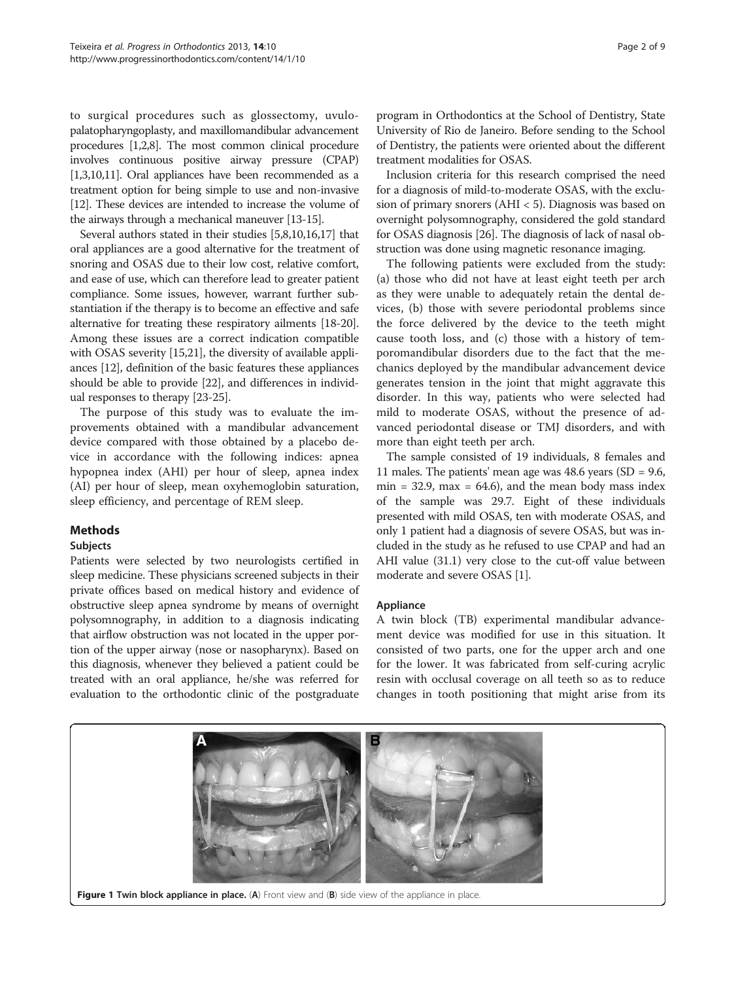<span id="page-1-0"></span>to surgical procedures such as glossectomy, uvulopalatopharyngoplasty, and maxillomandibular advancement procedures [\[1,2,8\]](#page-7-0). The most common clinical procedure involves continuous positive airway pressure (CPAP) [[1,3,10,11\]](#page-7-0). Oral appliances have been recommended as a treatment option for being simple to use and non-invasive [[12](#page-7-0)]. These devices are intended to increase the volume of the airways through a mechanical maneuver [\[13-15](#page-7-0)].

Several authors stated in their studies [\[5,8,10,16,17\]](#page-7-0) that oral appliances are a good alternative for the treatment of snoring and OSAS due to their low cost, relative comfort, and ease of use, which can therefore lead to greater patient compliance. Some issues, however, warrant further substantiation if the therapy is to become an effective and safe alternative for treating these respiratory ailments [[18](#page-7-0)-[20](#page-7-0)]. Among these issues are a correct indication compatible with OSAS severity [\[15,21](#page-7-0)], the diversity of available appliances [\[12](#page-7-0)], definition of the basic features these appliances should be able to provide [\[22\]](#page-7-0), and differences in individual responses to therapy [\[23-25\]](#page-8-0).

The purpose of this study was to evaluate the improvements obtained with a mandibular advancement device compared with those obtained by a placebo device in accordance with the following indices: apnea hypopnea index (AHI) per hour of sleep, apnea index (AI) per hour of sleep, mean oxyhemoglobin saturation, sleep efficiency, and percentage of REM sleep.

#### **Methods**

#### **Subjects**

Patients were selected by two neurologists certified in sleep medicine. These physicians screened subjects in their private offices based on medical history and evidence of obstructive sleep apnea syndrome by means of overnight polysomnography, in addition to a diagnosis indicating that airflow obstruction was not located in the upper portion of the upper airway (nose or nasopharynx). Based on this diagnosis, whenever they believed a patient could be treated with an oral appliance, he/she was referred for evaluation to the orthodontic clinic of the postgraduate

treatment modalities for OSAS. Inclusion criteria for this research comprised the need for a diagnosis of mild-to-moderate OSAS, with the exclusion of primary snorers (AHI < 5). Diagnosis was based on overnight polysomnography, considered the gold standard for OSAS diagnosis [\[26\]](#page-8-0). The diagnosis of lack of nasal obstruction was done using magnetic resonance imaging.

The following patients were excluded from the study: (a) those who did not have at least eight teeth per arch as they were unable to adequately retain the dental devices, (b) those with severe periodontal problems since the force delivered by the device to the teeth might cause tooth loss, and (c) those with a history of temporomandibular disorders due to the fact that the mechanics deployed by the mandibular advancement device generates tension in the joint that might aggravate this disorder. In this way, patients who were selected had mild to moderate OSAS, without the presence of advanced periodontal disease or TMJ disorders, and with more than eight teeth per arch.

The sample consisted of 19 individuals, 8 females and 11 males. The patients' mean age was 48.6 years (SD =  $9.6$ ,  $min = 32.9$ ,  $max = 64.6$ ), and the mean body mass index of the sample was 29.7. Eight of these individuals presented with mild OSAS, ten with moderate OSAS, and only 1 patient had a diagnosis of severe OSAS, but was included in the study as he refused to use CPAP and had an AHI value (31.1) very close to the cut-off value between moderate and severe OSAS [[1\]](#page-7-0).

#### Appliance

A twin block (TB) experimental mandibular advancement device was modified for use in this situation. It consisted of two parts, one for the upper arch and one for the lower. It was fabricated from self-curing acrylic resin with occlusal coverage on all teeth so as to reduce changes in tooth positioning that might arise from its

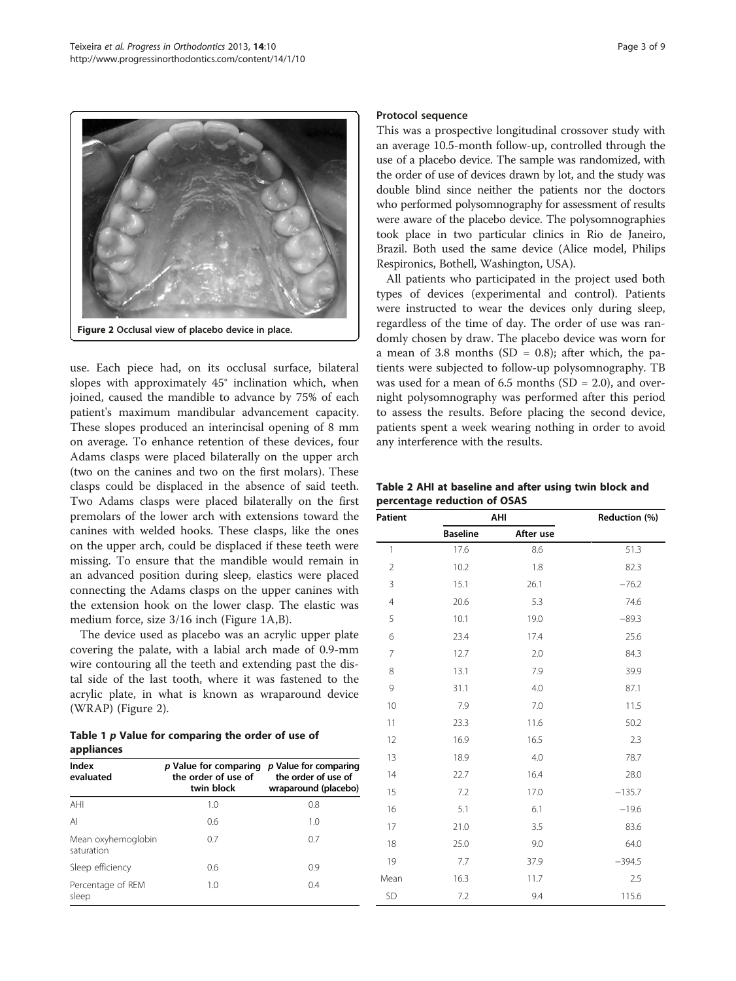<span id="page-2-0"></span>

use. Each piece had, on its occlusal surface, bilateral slopes with approximately 45° inclination which, when joined, caused the mandible to advance by 75% of each patient's maximum mandibular advancement capacity. These slopes produced an interincisal opening of 8 mm on average. To enhance retention of these devices, four Adams clasps were placed bilaterally on the upper arch (two on the canines and two on the first molars). These clasps could be displaced in the absence of said teeth. Two Adams clasps were placed bilaterally on the first premolars of the lower arch with extensions toward the canines with welded hooks. These clasps, like the ones on the upper arch, could be displaced if these teeth were missing. To ensure that the mandible would remain in an advanced position during sleep, elastics were placed connecting the Adams clasps on the upper canines with the extension hook on the lower clasp. The elastic was medium force, size 3/16 inch (Figure [1A](#page-1-0),B).

The device used as placebo was an acrylic upper plate covering the palate, with a labial arch made of 0.9-mm wire contouring all the teeth and extending past the distal side of the last tooth, where it was fastened to the acrylic plate, in what is known as wraparound device (WRAP) (Figure 2).

|            | Table 1 p Value for comparing the order of use of |  |  |
|------------|---------------------------------------------------|--|--|
| appliances |                                                   |  |  |

| Index<br>evaluated               | p Value for comparing<br>the order of use of<br>twin block | p Value for comparing<br>the order of use of<br>wraparound (placebo) |
|----------------------------------|------------------------------------------------------------|----------------------------------------------------------------------|
| AHI                              | 1.0                                                        | 0.8                                                                  |
| AI                               | 0.6                                                        | 1.0                                                                  |
| Mean oxyhemoglobin<br>saturation | 0.7                                                        | 0.7                                                                  |
| Sleep efficiency                 | 0.6                                                        | 0.9                                                                  |
| Percentage of REM<br>sleep       | 1.0                                                        | 0.4                                                                  |

#### Protocol sequence

This was a prospective longitudinal crossover study with an average 10.5-month follow-up, controlled through the use of a placebo device. The sample was randomized, with the order of use of devices drawn by lot, and the study was double blind since neither the patients nor the doctors who performed polysomnography for assessment of results were aware of the placebo device. The polysomnographies took place in two particular clinics in Rio de Janeiro, Brazil. Both used the same device (Alice model, Philips Respironics, Bothell, Washington, USA).

All patients who participated in the project used both types of devices (experimental and control). Patients were instructed to wear the devices only during sleep, regardless of the time of day. The order of use was randomly chosen by draw. The placebo device was worn for a mean of 3.8 months (SD =  $0.8$ ); after which, the patients were subjected to follow-up polysomnography. TB was used for a mean of 6.5 months  $(SD = 2.0)$ , and overnight polysomnography was performed after this period to assess the results. Before placing the second device, patients spent a week wearing nothing in order to avoid any interference with the results.

Table 2 AHI at baseline and after using twin block and percentage reduction of OSAS

| Patient        |                 | AHI       |          |  |  |
|----------------|-----------------|-----------|----------|--|--|
|                | <b>Baseline</b> | After use |          |  |  |
| 1              | 17.6            | 8.6       | 51.3     |  |  |
| $\overline{2}$ | 10.2            | 1.8       | 82.3     |  |  |
| $\mathbf{3}$   | 15.1            | 26.1      | $-76.2$  |  |  |
| $\overline{4}$ | 20.6            | 5.3       | 74.6     |  |  |
| 5              | 10.1            | 19.0      | $-89.3$  |  |  |
| 6              | 23.4            | 17.4      | 25.6     |  |  |
| $\overline{7}$ | 12.7            | 2.0       | 84.3     |  |  |
| 8              | 13.1            | 7.9       | 39.9     |  |  |
| 9              | 31.1            | 4.0       | 87.1     |  |  |
| 10             | 7.9             | 7.0       | 11.5     |  |  |
| 11             | 23.3            | 11.6      | 50.2     |  |  |
| 12             | 16.9            | 16.5      | 2.3      |  |  |
| 13             | 18.9            | 4.0       | 78.7     |  |  |
| 14             | 22.7            | 16.4      | 28.0     |  |  |
| 15             | 7.2             | 17.0      | $-135.7$ |  |  |
| 16             | 5.1             | 6.1       | $-19.6$  |  |  |
| 17             | 21.0            | 3.5       | 83.6     |  |  |
| 18             | 25.0            | 9.0       | 64.0     |  |  |
| 19             | 7.7             | 37.9      | $-394.5$ |  |  |
| Mean           | 16.3            | 11.7      | 2.5      |  |  |
| SD             | 7.2             | 9.4       | 115.6    |  |  |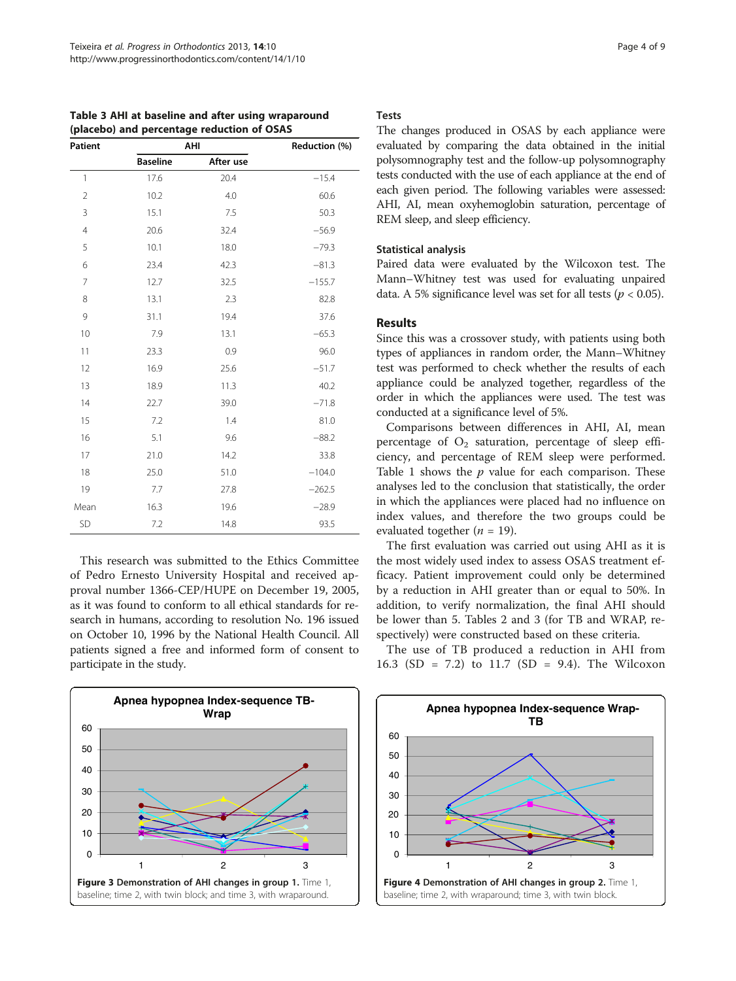<span id="page-3-0"></span>Table 3 AHI at baseline and after using wraparound (placebo) and percentage reduction of OSAS

| Patient        | AHI             | Reduction (%) |          |  |
|----------------|-----------------|---------------|----------|--|
|                | <b>Baseline</b> | After use     |          |  |
| $\mathbf{1}$   | 17.6            | 20.4          | $-15.4$  |  |
| $\overline{2}$ | 10.2            | 4.0           | 60.6     |  |
| 3              | 15.1            | 7.5           | 50.3     |  |
| $\overline{4}$ | 20.6            | 32.4          | $-56.9$  |  |
| 5              | 10.1            | 18.0          | $-79.3$  |  |
| 6              | 23.4            | 42.3          | $-81.3$  |  |
| 7              | 12.7            | 32.5          | $-155.7$ |  |
| 8              | 13.1            | 2.3           | 82.8     |  |
| 9              | 31.1            | 19.4          | 37.6     |  |
| 10             | 7.9             | 13.1          | $-65.3$  |  |
| 11             | 23.3            | 0.9           | 96.0     |  |
| 12             | 16.9            | 25.6          | $-51.7$  |  |
| 13             | 18.9            | 11.3          | 40.2     |  |
| 14             | 22.7            | 39.0          | $-71.8$  |  |
| 15             | 7.2             | 1.4           | 81.0     |  |
| 16             | 5.1             | 9.6           | $-88.2$  |  |
| 17             | 21.0            | 14.2          | 33.8     |  |
| 18             | 25.0            | 51.0          | $-104.0$ |  |
| 19             | 7.7             | 27.8          | $-262.5$ |  |
| Mean           | 16.3            | 19.6          | $-28.9$  |  |
| SD             | 7.2             | 14.8          | 93.5     |  |

This research was submitted to the Ethics Committee of Pedro Ernesto University Hospital and received approval number 1366-CEP/HUPE on December 19, 2005, as it was found to conform to all ethical standards for research in humans, according to resolution No. 196 issued on October 10, 1996 by the National Health Council. All patients signed a free and informed form of consent to participate in the study.



#### Tests

The changes produced in OSAS by each appliance were evaluated by comparing the data obtained in the initial polysomnography test and the follow-up polysomnography tests conducted with the use of each appliance at the end of each given period. The following variables were assessed: AHI, AI, mean oxyhemoglobin saturation, percentage of REM sleep, and sleep efficiency.

#### Statistical analysis

Paired data were evaluated by the Wilcoxon test. The Mann–Whitney test was used for evaluating unpaired data. A 5% significance level was set for all tests ( $p < 0.05$ ).

#### Results

Since this was a crossover study, with patients using both types of appliances in random order, the Mann–Whitney test was performed to check whether the results of each appliance could be analyzed together, regardless of the order in which the appliances were used. The test was conducted at a significance level of 5%.

Comparisons between differences in AHI, AI, mean percentage of  $O_2$  saturation, percentage of sleep efficiency, and percentage of REM sleep were performed. Table [1](#page-2-0) shows the  $p$  value for each comparison. These analyses led to the conclusion that statistically, the order in which the appliances were placed had no influence on index values, and therefore the two groups could be evaluated together  $(n = 19)$ .

The first evaluation was carried out using AHI as it is the most widely used index to assess OSAS treatment efficacy. Patient improvement could only be determined by a reduction in AHI greater than or equal to 50%. In addition, to verify normalization, the final AHI should be lower than 5. Tables [2](#page-2-0) and 3 (for TB and WRAP, respectively) were constructed based on these criteria.

The use of TB produced a reduction in AHI from 16.3 (SD = 7.2) to 11.7 (SD = 9.4). The Wilcoxon

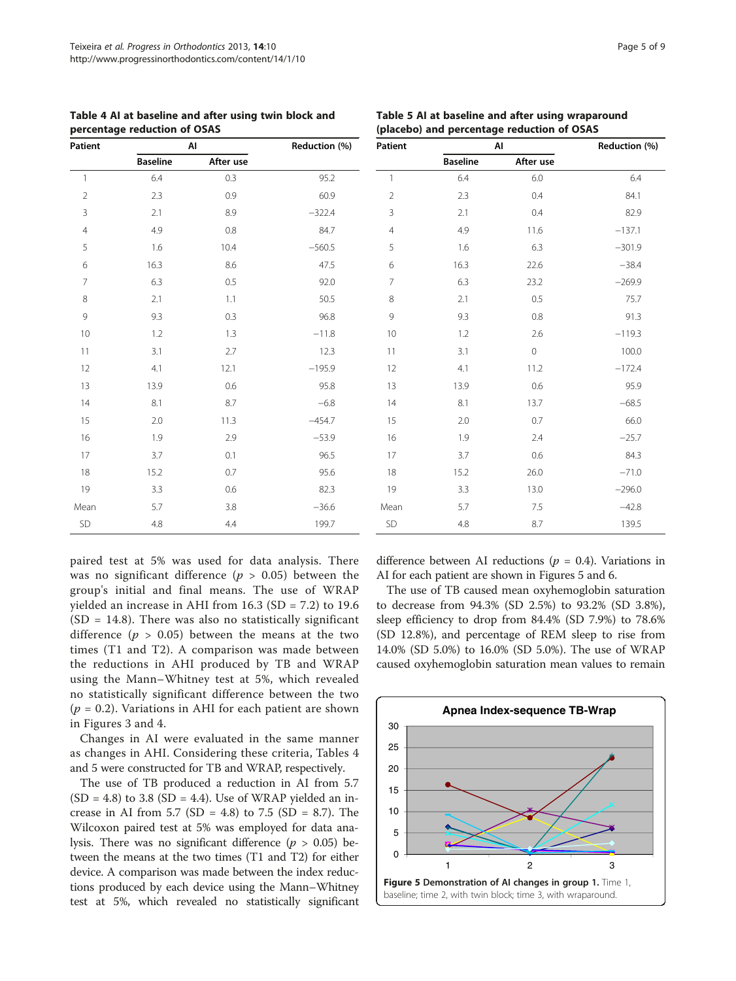| Patient        | AI              |           | Reduction (%) | Patient        | AI              |                     | Reduction |
|----------------|-----------------|-----------|---------------|----------------|-----------------|---------------------|-----------|
|                | <b>Baseline</b> | After use |               |                | <b>Baseline</b> | After use           |           |
| $\mathbf{1}$   | 6.4             | 0.3       | 95.2          | $\mathbf{1}$   | 6.4             | 6.0                 | 6.4       |
| $\overline{2}$ | $2.3\,$         | 0.9       | 60.9          | $\sqrt{2}$     | $2.3\,$         | 0.4                 | 84.1      |
| $\mathbf{3}$   | 2.1             | 8.9       | $-322.4$      | $\mathbf{3}$   | 2.1             | 0.4                 | 82.9      |
| $\overline{4}$ | 4.9             | 0.8       | 84.7          | $\overline{4}$ | 4.9             | 11.6                | $-137.1$  |
| 5              | 1.6             | 10.4      | $-560.5$      | 5              | 1.6             | 6.3                 | $-301.9$  |
| 6              | 16.3            | 8.6       | 47.5          | $\,$ 6 $\,$    | 16.3            | 22.6                | $-38.4$   |
| $\overline{7}$ | 6.3             | $0.5\,$   | 92.0          | $\overline{7}$ | 6.3             | 23.2                | $-269.9$  |
| $\,8\,$        | 2.1             | 1.1       | 50.5          | $\,8\,$        | 2.1             | 0.5                 | 75.7      |
| 9              | 9.3             | 0.3       | 96.8          | $\,9$          | 9.3             | $0.8\,$             | 91.3      |
| 10             | 1.2             | 1.3       | $-11.8$       | 10             | 1.2             | 2.6                 | $-119.3$  |
| 11             | 3.1             | 2.7       | 12.3          | 11             | 3.1             | $\mathsf{O}\xspace$ | 100.0     |
| 12             | 4.1             | 12.1      | $-195.9$      | 12             | 4.1             | 11.2                | $-172.4$  |
| 13             | 13.9            | 0.6       | 95.8          | 13             | 13.9            | 0.6                 | 95.9      |
| 14             | 8.1             | 8.7       | $-6.8$        | 14             | 8.1             | 13.7                | $-68.5$   |
| 15             | 2.0             | 11.3      | $-454.7$      | 15             | 2.0             | 0.7                 | 66.C      |
| 16             | 1.9             | 2.9       | $-53.9$       | 16             | 1.9             | 2.4                 | $-25.7$   |
| 17             | 3.7             | 0.1       | 96.5          | 17             | 3.7             | 0.6                 | 84.3      |
| 18             | 15.2            | 0.7       | 95.6          | 18             | 15.2            | 26.0                | $-71.0$   |
| 19             | 3.3             | 0.6       | 82.3          | 19             | 3.3             | 13.0                | $-296.0$  |
| Mean           | 5.7             | 3.8       | $-36.6$       | Mean           | $5.7\,$         | 7.5                 | $-42.8$   |
| SD             | 4.8             | 4.4       | 199.7         | SD             | 4.8             | 8.7                 | 139.5     |

Table 4 AI at baseline and after using twin block and percentage reduction of OSAS

paired test at 5% was used for data analysis. There was no significant difference ( $p > 0.05$ ) between the group's initial and final means. The use of WRAP yielded an increase in AHI from 16.3 (SD = 7.2) to 19.6  $(SD = 14.8)$ . There was also no statistically significant difference ( $p > 0.05$ ) between the means at the two times (T1 and T2). A comparison was made between the reductions in AHI produced by TB and WRAP using the Mann–Whitney test at 5%, which revealed no statistically significant difference between the two  $(p = 0.2)$ . Variations in AHI for each patient are shown in Figures [3](#page-3-0) and [4](#page-3-0).

Changes in AI were evaluated in the same manner as changes in AHI. Considering these criteria, Tables 4 and 5 were constructed for TB and WRAP, respectively.

The use of TB produced a reduction in AI from 5.7  $(SD = 4.8)$  to 3.8  $(SD = 4.4)$ . Use of WRAP yielded an increase in AI from 5.7 (SD = 4.8) to 7.5 (SD = 8.7). The Wilcoxon paired test at 5% was employed for data analysis. There was no significant difference ( $p > 0.05$ ) between the means at the two times (T1 and T2) for either device. A comparison was made between the index reductions produced by each device using the Mann–Whitney test at 5%, which revealed no statistically significant

difference between AI reductions ( $p = 0.4$ ). Variations in AI for each patient are shown in Figures 5 and [6](#page-5-0).

The use of TB caused mean oxyhemoglobin saturation to decrease from 94.3% (SD 2.5%) to 93.2% (SD 3.8%), sleep efficiency to drop from 84.4% (SD 7.9%) to 78.6% (SD 12.8%), and percentage of REM sleep to rise from 14.0% (SD 5.0%) to 16.0% (SD 5.0%). The use of WRAP caused oxyhemoglobin saturation mean values to remain



Table 5 AI at baseline and after using wraparound (placebo) and percentage reduction of OSAS

AI Reduction (%)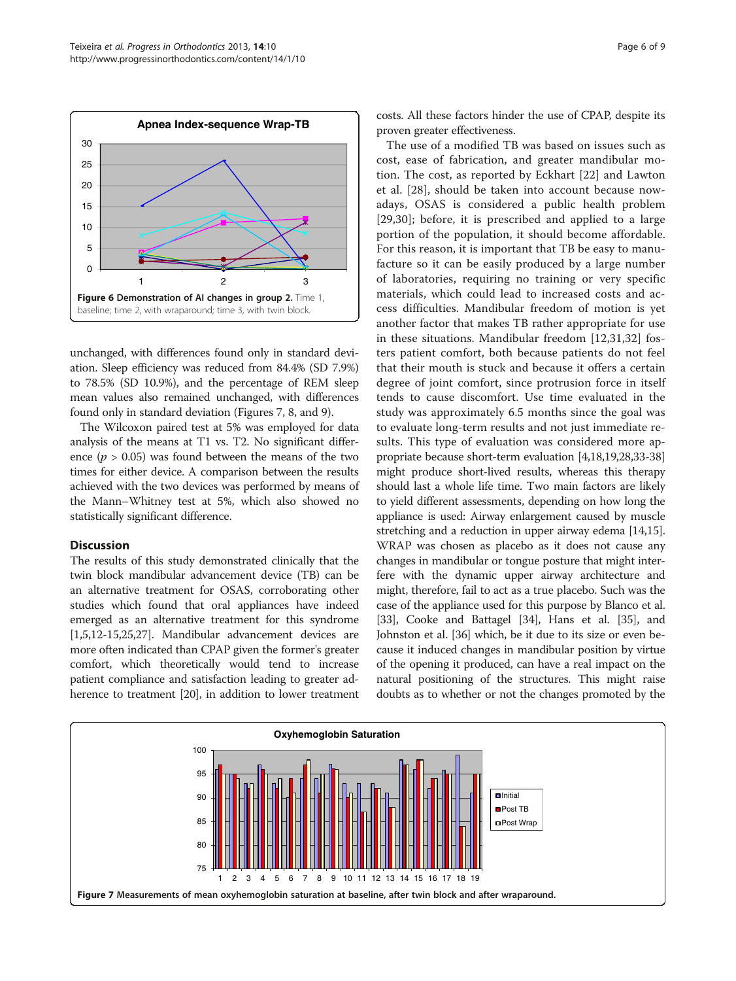<span id="page-5-0"></span>

unchanged, with differences found only in standard deviation. Sleep efficiency was reduced from 84.4% (SD 7.9%) to 78.5% (SD 10.9%), and the percentage of REM sleep mean values also remained unchanged, with differences found only in standard deviation (Figures 7, [8](#page-6-0), and [9](#page-6-0)).

The Wilcoxon paired test at 5% was employed for data analysis of the means at T1 vs. T2. No significant difference ( $p > 0.05$ ) was found between the means of the two times for either device. A comparison between the results achieved with the two devices was performed by means of the Mann–Whitney test at 5%, which also showed no statistically significant difference.

#### **Discussion**

The results of this study demonstrated clinically that the twin block mandibular advancement device (TB) can be an alternative treatment for OSAS, corroborating other studies which found that oral appliances have indeed emerged as an alternative treatment for this syndrome [[1,5,12](#page-7-0)-[15](#page-7-0)[,25,27\]](#page-8-0). Mandibular advancement devices are more often indicated than CPAP given the former's greater comfort, which theoretically would tend to increase patient compliance and satisfaction leading to greater adherence to treatment [[20](#page-7-0)], in addition to lower treatment costs. All these factors hinder the use of CPAP, despite its proven greater effectiveness.

The use of a modified TB was based on issues such as cost, ease of fabrication, and greater mandibular motion. The cost, as reported by Eckhart [[22](#page-7-0)] and Lawton et al. [[28\]](#page-8-0), should be taken into account because nowadays, OSAS is considered a public health problem [[29,30](#page-8-0)]; before, it is prescribed and applied to a large portion of the population, it should become affordable. For this reason, it is important that TB be easy to manufacture so it can be easily produced by a large number of laboratories, requiring no training or very specific materials, which could lead to increased costs and access difficulties. Mandibular freedom of motion is yet another factor that makes TB rather appropriate for use in these situations. Mandibular freedom [\[12](#page-7-0),[31,32\]](#page-8-0) fosters patient comfort, both because patients do not feel that their mouth is stuck and because it offers a certain degree of joint comfort, since protrusion force in itself tends to cause discomfort. Use time evaluated in the study was approximately 6.5 months since the goal was to evaluate long-term results and not just immediate results. This type of evaluation was considered more appropriate because short-term evaluation [[4,18,19](#page-7-0)[,28,33](#page-8-0)-[38](#page-8-0)] might produce short-lived results, whereas this therapy should last a whole life time. Two main factors are likely to yield different assessments, depending on how long the appliance is used: Airway enlargement caused by muscle stretching and a reduction in upper airway edema [\[14,15](#page-7-0)]. WRAP was chosen as placebo as it does not cause any changes in mandibular or tongue posture that might interfere with the dynamic upper airway architecture and might, therefore, fail to act as a true placebo. Such was the case of the appliance used for this purpose by Blanco et al. [[33](#page-8-0)], Cooke and Battagel [\[34\]](#page-8-0), Hans et al. [[35](#page-8-0)], and Johnston et al. [[36](#page-8-0)] which, be it due to its size or even because it induced changes in mandibular position by virtue of the opening it produced, can have a real impact on the natural positioning of the structures. This might raise doubts as to whether or not the changes promoted by the

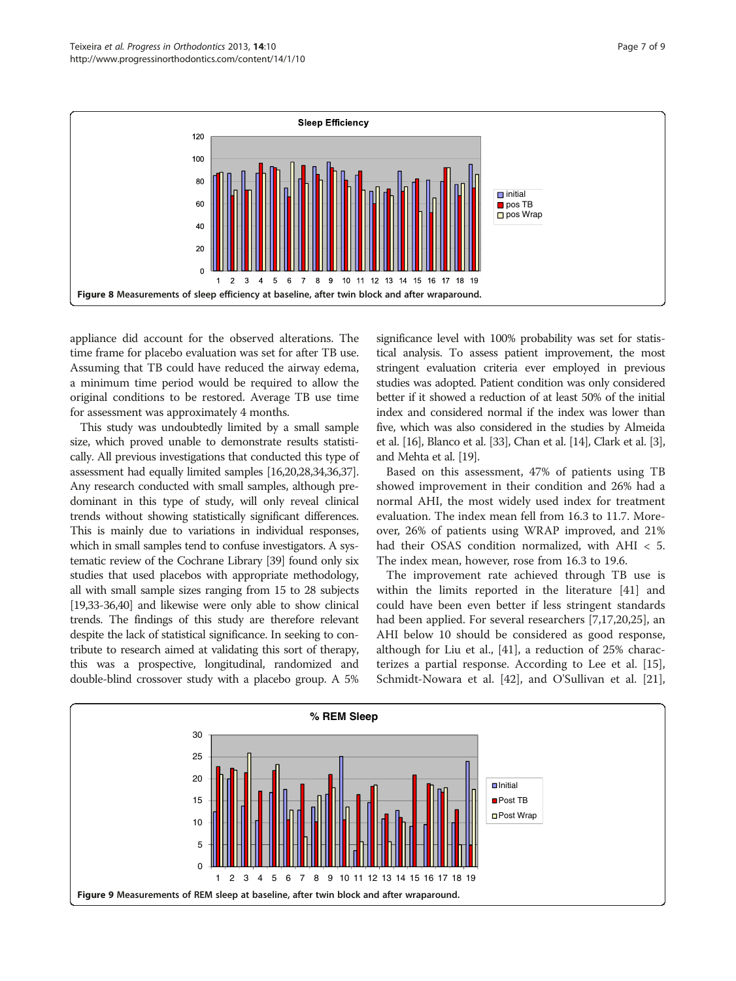<span id="page-6-0"></span>

appliance did account for the observed alterations. The time frame for placebo evaluation was set for after TB use. Assuming that TB could have reduced the airway edema, a minimum time period would be required to allow the original conditions to be restored. Average TB use time for assessment was approximately 4 months.

This study was undoubtedly limited by a small sample size, which proved unable to demonstrate results statistically. All previous investigations that conducted this type of assessment had equally limited samples [\[16,20,](#page-7-0)[28,34,36,37](#page-8-0)]. Any research conducted with small samples, although predominant in this type of study, will only reveal clinical trends without showing statistically significant differences. This is mainly due to variations in individual responses, which in small samples tend to confuse investigators. A systematic review of the Cochrane Library [\[39\]](#page-8-0) found only six studies that used placebos with appropriate methodology, all with small sample sizes ranging from 15 to 28 subjects [[19](#page-7-0)[,33-36,40\]](#page-8-0) and likewise were only able to show clinical trends. The findings of this study are therefore relevant despite the lack of statistical significance. In seeking to contribute to research aimed at validating this sort of therapy, this was a prospective, longitudinal, randomized and double-blind crossover study with a placebo group. A 5%

significance level with 100% probability was set for statistical analysis. To assess patient improvement, the most stringent evaluation criteria ever employed in previous studies was adopted. Patient condition was only considered better if it showed a reduction of at least 50% of the initial index and considered normal if the index was lower than five, which was also considered in the studies by Almeida et al. [[16](#page-7-0)], Blanco et al. [\[33](#page-8-0)], Chan et al. [[14](#page-7-0)], Clark et al. [[3](#page-7-0)], and Mehta et al. [\[19](#page-7-0)].

Based on this assessment, 47% of patients using TB showed improvement in their condition and 26% had a normal AHI, the most widely used index for treatment evaluation. The index mean fell from 16.3 to 11.7. Moreover, 26% of patients using WRAP improved, and 21% had their OSAS condition normalized, with AHI < 5. The index mean, however, rose from 16.3 to 19.6.

The improvement rate achieved through TB use is within the limits reported in the literature [[41](#page-8-0)] and could have been even better if less stringent standards had been applied. For several researchers [[7](#page-7-0),[17](#page-7-0),[20](#page-7-0),[25](#page-8-0)], an AHI below 10 should be considered as good response, although for Liu et al., [\[41](#page-8-0)], a reduction of 25% characterizes a partial response. According to Lee et al. [\[15](#page-7-0)], Schmidt-Nowara et al. [\[42\]](#page-8-0), and O'Sullivan et al. [\[21](#page-7-0)],

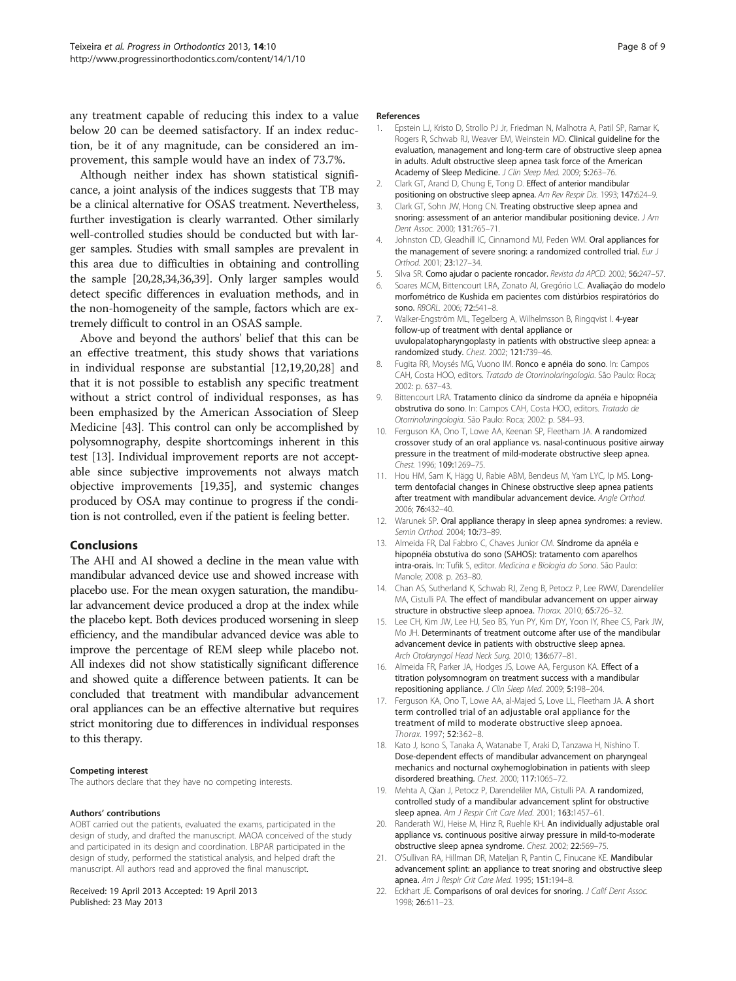<span id="page-7-0"></span>any treatment capable of reducing this index to a value below 20 can be deemed satisfactory. If an index reduction, be it of any magnitude, can be considered an improvement, this sample would have an index of 73.7%.

Although neither index has shown statistical significance, a joint analysis of the indices suggests that TB may be a clinical alternative for OSAS treatment. Nevertheless, further investigation is clearly warranted. Other similarly well-controlled studies should be conducted but with larger samples. Studies with small samples are prevalent in this area due to difficulties in obtaining and controlling the sample [20[,28,34,36,39\]](#page-8-0). Only larger samples would detect specific differences in evaluation methods, and in the non-homogeneity of the sample, factors which are extremely difficult to control in an OSAS sample.

Above and beyond the authors' belief that this can be an effective treatment, this study shows that variations in individual response are substantial [12,19,20[,28\]](#page-8-0) and that it is not possible to establish any specific treatment without a strict control of individual responses, as has been emphasized by the American Association of Sleep Medicine [\[43](#page-8-0)]. This control can only be accomplished by polysomnography, despite shortcomings inherent in this test [13]. Individual improvement reports are not acceptable since subjective improvements not always match objective improvements [19,[35](#page-8-0)], and systemic changes produced by OSA may continue to progress if the condition is not controlled, even if the patient is feeling better.

#### Conclusions

The AHI and AI showed a decline in the mean value with mandibular advanced device use and showed increase with placebo use. For the mean oxygen saturation, the mandibular advancement device produced a drop at the index while the placebo kept. Both devices produced worsening in sleep efficiency, and the mandibular advanced device was able to improve the percentage of REM sleep while placebo not. All indexes did not show statistically significant difference and showed quite a difference between patients. It can be concluded that treatment with mandibular advancement oral appliances can be an effective alternative but requires strict monitoring due to differences in individual responses to this therapy.

#### Competing interest

The authors declare that they have no competing interests.

#### Authors' contributions

AOBT carried out the patients, evaluated the exams, participated in the design of study, and drafted the manuscript. MAOA conceived of the study and participated in its design and coordination. LBPAR participated in the design of study, performed the statistical analysis, and helped draft the manuscript. All authors read and approved the final manuscript.

#### Received: 19 April 2013 Accepted: 19 April 2013 Published: 23 May 2013

#### References

- 1. Epstein LJ, Kristo D, Strollo PJ Jr, Friedman N, Malhotra A, Patil SP, Ramar K, Rogers R, Schwab RJ, Weaver EM, Weinstein MD. Clinical guideline for the evaluation, management and long-term care of obstructive sleep apnea in adults. Adult obstructive sleep apnea task force of the American Academy of Sleep Medicine. J Clin Sleep Med. 2009; 5:263–76.
- 2. Clark GT, Arand D, Chung E, Tong D. Effect of anterior mandibular positioning on obstructive sleep apnea. Am Rev Respir Dis. 1993; 147:624-9.
- 3. Clark GT, Sohn JW, Hong CN. Treating obstructive sleep apnea and snoring: assessment of an anterior mandibular positioning device. J Am Dent Assoc. 2000; 131:765–71.
- 4. Johnston CD, Gleadhill IC, Cinnamond MJ, Peden WM. Oral appliances for the management of severe snoring: a randomized controlled trial. Eur J Orthod. 2001; 23:127–34.
- 5. Silva SR. Como ajudar o paciente roncador. Revista da APCD. 2002; 56:247-57.
- 6. Soares MCM, Bittencourt LRA, Zonato AI, Gregório LC. Avaliação do modelo morfométrico de Kushida em pacientes com distúrbios respiratórios do sono. RBORL. 2006; 72:541–8.
- 7. Walker-Engström ML, Tegelberg A, Wilhelmsson B, Ringqvist I. 4-year follow-up of treatment with dental appliance or uvulopalatopharyngoplasty in patients with obstructive sleep apnea: a randomized study. Chest. 2002; 121:739–46.
- 8. Fugita RR, Moysés MG, Vuono IM. Ronco e apnéia do sono. In: Campos CAH, Costa HOO, editors. Tratado de Otorrinolaringologia. São Paulo: Roca; 2002: p. 637–43.
- Bittencourt LRA. Tratamento clínico da síndrome da apnéia e hipopnéia obstrutiva do sono. In: Campos CAH, Costa HOO, editors. Tratado de Otorrinolaringologia. São Paulo: Roca; 2002: p. 584–93.
- 10. Ferguson KA, Ono T, Lowe AA, Keenan SP, Fleetham JA. A randomized crossover study of an oral appliance vs. nasal-continuous positive airway pressure in the treatment of mild-moderate obstructive sleep apnea. Chest. 1996; 109:1269–75.
- 11. Hou HM, Sam K, Hägg U, Rabie ABM, Bendeus M, Yam LYC, Ip MS. Longterm dentofacial changes in Chinese obstructive sleep apnea patients after treatment with mandibular advancement device. Angle Orthod. 2006; 76:432–40.
- 12. Warunek SP. Oral appliance therapy in sleep apnea syndromes: a review. Semin Orthod. 2004; 10:73–89.
- 13. Almeida FR, Dal Fabbro C, Chaves Junior CM. Síndrome da apnéia e hipopnéia obstutiva do sono (SAHOS): tratamento com aparelhos intra-orais. In: Tufik S, editor. Medicina e Biologia do Sono. São Paulo: Manole; 2008: p. 263–80.
- 14. Chan AS, Sutherland K, Schwab RJ, Zeng B, Petocz P, Lee RWW, Darendeliler MA, Cistulli PA. The effect of mandibular advancement on upper airway structure in obstructive sleep apnoea. Thorax. 2010; 65:726–32.
- 15. Lee CH, Kim JW, Lee HJ, Seo BS, Yun PY, Kim DY, Yoon IY, Rhee CS, Park JW, Mo JH. Determinants of treatment outcome after use of the mandibular advancement device in patients with obstructive sleep apnea. Arch Otolaryngol Head Neck Surg. 2010; 136:677–81.
- 16. Almeida FR, Parker JA, Hodges JS, Lowe AA, Ferguson KA. Effect of a titration polysomnogram on treatment success with a mandibular repositioning appliance. J Clin Sleep Med. 2009; 5:198–204.
- 17. Ferguson KA, Ono T, Lowe AA, al-Majed S, Love LL, Fleetham JA. A short term controlled trial of an adjustable oral appliance for the treatment of mild to moderate obstructive sleep apnoea. Thorax. 1997; 52:362–8.
- 18. Kato J, Isono S, Tanaka A, Watanabe T, Araki D, Tanzawa H, Nishino T. Dose-dependent effects of mandibular advancement on pharyngeal mechanics and nocturnal oxyhemoglobination in patients with sleep disordered breathing. Chest. 2000; 117:1065–72.
- 19. Mehta A, Qian J, Petocz P, Darendeliler MA, Cistulli PA. A randomized, controlled study of a mandibular advancement splint for obstructive sleep apnea. Am J Respir Crit Care Med. 2001; 163:1457-61.
- 20. Randerath WJ, Heise M, Hinz R, Ruehle KH. An individually adjustable oral appliance vs. continuous positive airway pressure in mild-to-moderate obstructive sleep apnea syndrome. Chest. 2002; 22:569–75.
- 21. O'Sullivan RA, Hillman DR, Matelian R, Pantin C, Finucane KE, Mandibular advancement splint: an appliance to treat snoring and obstructive sleep apnea. Am J Respir Crit Care Med. 1995; 151:194–8.
- 22. Eckhart JE. Comparisons of oral devices for snoring. J Calif Dent Assoc. 1998; 26:611–23.